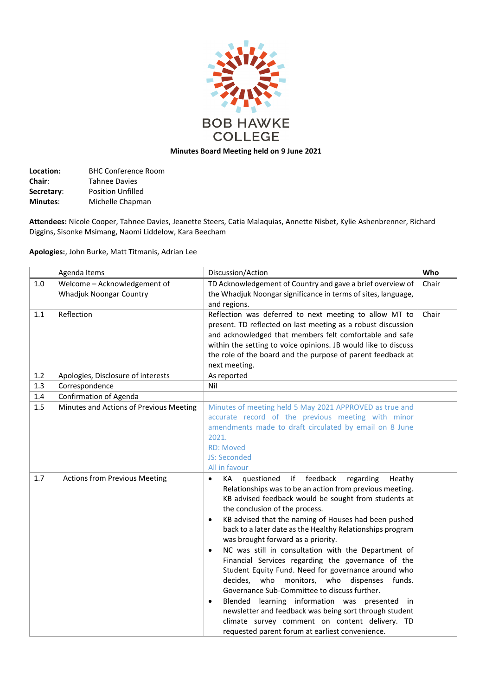

## **Minutes Board Meeting held on 9 June 2021**

| Location:       | <b>BHC Conference Room</b> |
|-----------------|----------------------------|
| Chair:          | <b>Tahnee Davies</b>       |
| Secretary:      | <b>Position Unfilled</b>   |
| <b>Minutes:</b> | Michelle Chapman           |

**Attendees:** Nicole Cooper, Tahnee Davies, Jeanette Steers, Catia Malaquias, Annette Nisbet, Kylie Ashenbrenner, Richard Diggins, Sisonke Msimang, Naomi Liddelow, Kara Beecham

## **Apologies:**, John Burke, Matt Titmanis, Adrian Lee

|         | Agenda Items                                            | Discussion/Action                                                                                                                                                                                                                                                                                                                                                                                                                                                                                                                                                                                                                                                                                                                                                                                                                                                                                                    | Who   |
|---------|---------------------------------------------------------|----------------------------------------------------------------------------------------------------------------------------------------------------------------------------------------------------------------------------------------------------------------------------------------------------------------------------------------------------------------------------------------------------------------------------------------------------------------------------------------------------------------------------------------------------------------------------------------------------------------------------------------------------------------------------------------------------------------------------------------------------------------------------------------------------------------------------------------------------------------------------------------------------------------------|-------|
| 1.0     | Welcome - Acknowledgement of<br>Whadjuk Noongar Country | TD Acknowledgement of Country and gave a brief overview of<br>the Whadjuk Noongar significance in terms of sites, language,<br>and regions.                                                                                                                                                                                                                                                                                                                                                                                                                                                                                                                                                                                                                                                                                                                                                                          | Chair |
| $1.1\,$ | Reflection                                              | Reflection was deferred to next meeting to allow MT to<br>present. TD reflected on last meeting as a robust discussion<br>and acknowledged that members felt comfortable and safe<br>within the setting to voice opinions. JB would like to discuss<br>the role of the board and the purpose of parent feedback at<br>next meeting.                                                                                                                                                                                                                                                                                                                                                                                                                                                                                                                                                                                  | Chair |
| 1.2     | Apologies, Disclosure of interests                      | As reported                                                                                                                                                                                                                                                                                                                                                                                                                                                                                                                                                                                                                                                                                                                                                                                                                                                                                                          |       |
| 1.3     | Correspondence                                          | Nil                                                                                                                                                                                                                                                                                                                                                                                                                                                                                                                                                                                                                                                                                                                                                                                                                                                                                                                  |       |
| 1.4     | Confirmation of Agenda                                  |                                                                                                                                                                                                                                                                                                                                                                                                                                                                                                                                                                                                                                                                                                                                                                                                                                                                                                                      |       |
| 1.5     | Minutes and Actions of Previous Meeting                 | Minutes of meeting held 5 May 2021 APPROVED as true and<br>accurate record of the previous meeting with minor<br>amendments made to draft circulated by email on 8 June<br>2021.<br><b>RD: Moved</b><br>JS: Seconded<br>All in favour                                                                                                                                                                                                                                                                                                                                                                                                                                                                                                                                                                                                                                                                                |       |
| 1.7     | <b>Actions from Previous Meeting</b>                    | feedback<br>if<br>regarding<br>КA<br>questioned<br>Heathy<br>$\bullet$<br>Relationships was to be an action from previous meeting.<br>KB advised feedback would be sought from students at<br>the conclusion of the process.<br>KB advised that the naming of Houses had been pushed<br>$\bullet$<br>back to a later date as the Healthy Relationships program<br>was brought forward as a priority.<br>NC was still in consultation with the Department of<br>$\bullet$<br>Financial Services regarding the governance of the<br>Student Equity Fund. Need for governance around who<br>who monitors, who dispenses funds.<br>decides.<br>Governance Sub-Committee to discuss further.<br>Blended learning information was presented in<br>$\bullet$<br>newsletter and feedback was being sort through student<br>climate survey comment on content delivery. TD<br>requested parent forum at earliest convenience. |       |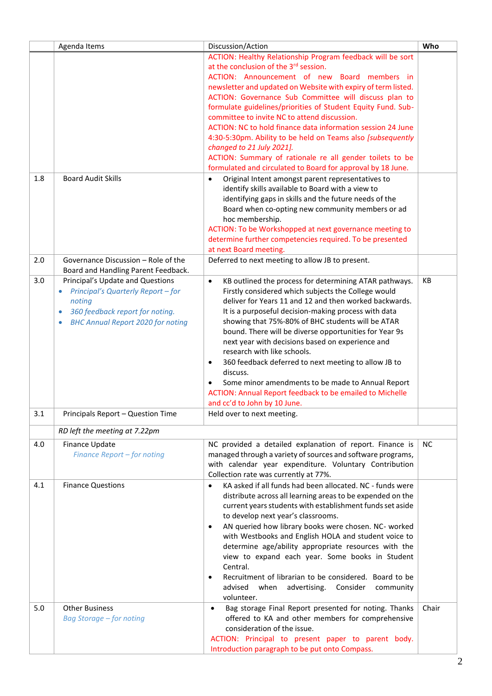|     | Agenda Items                                                                                                                                                                 | Discussion/Action                                                                                                                                                                                                                                                                                                                                                                                                                                                                                                                                                                                                                                                                                                                                                                                                                                                                                                                    | Who       |
|-----|------------------------------------------------------------------------------------------------------------------------------------------------------------------------------|--------------------------------------------------------------------------------------------------------------------------------------------------------------------------------------------------------------------------------------------------------------------------------------------------------------------------------------------------------------------------------------------------------------------------------------------------------------------------------------------------------------------------------------------------------------------------------------------------------------------------------------------------------------------------------------------------------------------------------------------------------------------------------------------------------------------------------------------------------------------------------------------------------------------------------------|-----------|
| 1.8 | <b>Board Audit Skills</b>                                                                                                                                                    | ACTION: Healthy Relationship Program feedback will be sort<br>at the conclusion of the 3 <sup>rd</sup> session.<br>ACTION: Announcement of new Board members in<br>newsletter and updated on Website with expiry of term listed.<br>ACTION: Governance Sub Committee will discuss plan to<br>formulate guidelines/priorities of Student Equity Fund. Sub-<br>committee to invite NC to attend discussion.<br>ACTION: NC to hold finance data information session 24 June<br>4:30-5:30pm. Ability to be held on Teams also [subsequently<br>changed to 21 July 2021].<br>ACTION: Summary of rationale re all gender toilets to be<br>formulated and circulated to Board for approval by 18 June.<br>Original Intent amongst parent representatives to<br>$\bullet$<br>identify skills available to Board with a view to<br>identifying gaps in skills and the future needs of the<br>Board when co-opting new community members or ad |           |
|     |                                                                                                                                                                              | hoc membership.<br>ACTION: To be Workshopped at next governance meeting to<br>determine further competencies required. To be presented<br>at next Board meeting.                                                                                                                                                                                                                                                                                                                                                                                                                                                                                                                                                                                                                                                                                                                                                                     |           |
| 2.0 | Governance Discussion - Role of the<br>Board and Handling Parent Feedback.                                                                                                   | Deferred to next meeting to allow JB to present.                                                                                                                                                                                                                                                                                                                                                                                                                                                                                                                                                                                                                                                                                                                                                                                                                                                                                     |           |
| 3.0 | Principal's Update and Questions<br>Principal's Quarterly Report - for<br>noting<br>360 feedback report for noting.<br><b>BHC Annual Report 2020 for noting</b><br>$\bullet$ | KB outlined the process for determining ATAR pathways.<br>$\bullet$<br>Firstly considered which subjects the College would<br>deliver for Years 11 and 12 and then worked backwards.<br>It is a purposeful decision-making process with data<br>showing that 75%-80% of BHC students will be ATAR<br>bound. There will be diverse opportunities for Year 9s<br>next year with decisions based on experience and<br>research with like schools.<br>360 feedback deferred to next meeting to allow JB to<br>$\bullet$<br>discuss.<br>Some minor amendments to be made to Annual Report<br>ACTION: Annual Report feedback to be emailed to Michelle<br>and cc'd to John by 10 June.                                                                                                                                                                                                                                                     | КB        |
| 3.1 | Principals Report - Question Time                                                                                                                                            | Held over to next meeting.                                                                                                                                                                                                                                                                                                                                                                                                                                                                                                                                                                                                                                                                                                                                                                                                                                                                                                           |           |
|     | RD left the meeting at 7.22pm                                                                                                                                                |                                                                                                                                                                                                                                                                                                                                                                                                                                                                                                                                                                                                                                                                                                                                                                                                                                                                                                                                      |           |
| 4.0 | Finance Update<br>Finance Report - for noting                                                                                                                                | NC provided a detailed explanation of report. Finance is<br>managed through a variety of sources and software programs,<br>with calendar year expenditure. Voluntary Contribution<br>Collection rate was currently at 77%.                                                                                                                                                                                                                                                                                                                                                                                                                                                                                                                                                                                                                                                                                                           | <b>NC</b> |
| 4.1 | <b>Finance Questions</b>                                                                                                                                                     | KA asked if all funds had been allocated. NC - funds were<br>$\bullet$<br>distribute across all learning areas to be expended on the<br>current years students with establishment funds set aside<br>to develop next year's classrooms.<br>AN queried how library books were chosen. NC- worked<br>with Westbooks and English HOLA and student voice to<br>determine age/ability appropriate resources with the<br>view to expand each year. Some books in Student<br>Central.<br>Recruitment of librarian to be considered. Board to be<br>advised<br>advertising.<br>Consider<br>when<br>community<br>volunteer.                                                                                                                                                                                                                                                                                                                   |           |
| 5.0 | <b>Other Business</b><br><b>Bag Storage - for noting</b>                                                                                                                     | Bag storage Final Report presented for noting. Thanks<br>$\bullet$<br>offered to KA and other members for comprehensive<br>consideration of the issue.<br>ACTION: Principal to present paper to parent body.<br>Introduction paragraph to be put onto Compass.                                                                                                                                                                                                                                                                                                                                                                                                                                                                                                                                                                                                                                                                       | Chair     |